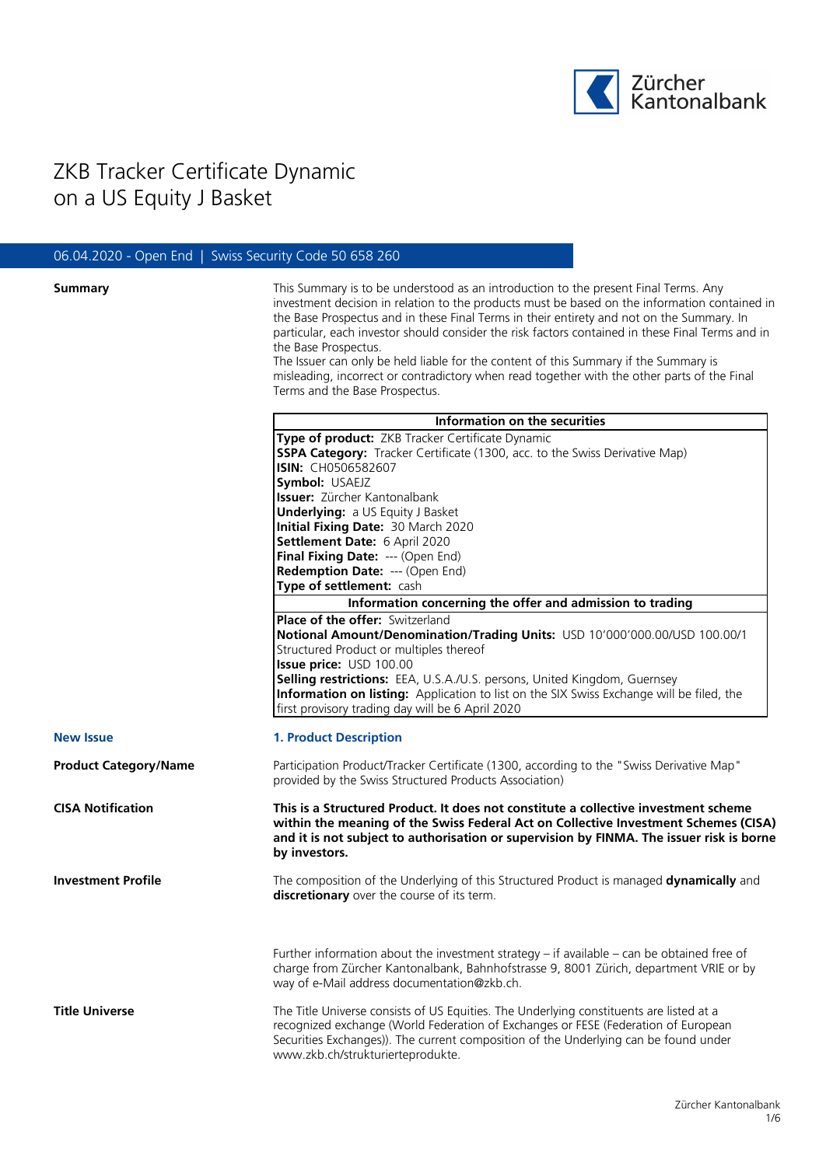

# ZKB Tracker Certificate Dynamic on a US Equity J Basket

# 06.04.2020 - Open End | Swiss Security Code 50 658 260

| <b>Summary</b> |  |
|----------------|--|
|                |  |

**Summary Summary** This Summary is to be understood as an introduction to the present Final Terms. Any investment decision in relation to the products must be based on the information contained in the Base Prospectus and in these Final Terms in their entirety and not on the Summary. In particular, each investor should consider the risk factors contained in these Final Terms and in the Base Prospectus.

The Issuer can only be held liable for the content of this Summary if the Summary is misleading, incorrect or contradictory when read together with the other parts of the Final Terms and the Base Prospectus.

|                              | Information on the securities                                                                                                                                                                                                                                                                              |  |  |
|------------------------------|------------------------------------------------------------------------------------------------------------------------------------------------------------------------------------------------------------------------------------------------------------------------------------------------------------|--|--|
|                              | Type of product: ZKB Tracker Certificate Dynamic                                                                                                                                                                                                                                                           |  |  |
|                              | <b>SSPA Category:</b> Tracker Certificate (1300, acc. to the Swiss Derivative Map)                                                                                                                                                                                                                         |  |  |
|                              | ISIN: CH0506582607                                                                                                                                                                                                                                                                                         |  |  |
|                              | Symbol: USAEJZ                                                                                                                                                                                                                                                                                             |  |  |
|                              | <b>Issuer:</b> Zürcher Kantonalbank                                                                                                                                                                                                                                                                        |  |  |
|                              | <b>Underlying: a US Equity J Basket</b>                                                                                                                                                                                                                                                                    |  |  |
|                              | Initial Fixing Date: 30 March 2020                                                                                                                                                                                                                                                                         |  |  |
|                              | Settlement Date: 6 April 2020                                                                                                                                                                                                                                                                              |  |  |
|                              | Final Fixing Date: --- (Open End)                                                                                                                                                                                                                                                                          |  |  |
|                              | Redemption Date: --- (Open End)<br>Type of settlement: cash                                                                                                                                                                                                                                                |  |  |
|                              | Information concerning the offer and admission to trading                                                                                                                                                                                                                                                  |  |  |
|                              | <b>Place of the offer: Switzerland</b>                                                                                                                                                                                                                                                                     |  |  |
|                              | Notional Amount/Denomination/Trading Units: USD 10'000'000.00/USD 100.00/1                                                                                                                                                                                                                                 |  |  |
|                              | Structured Product or multiples thereof                                                                                                                                                                                                                                                                    |  |  |
|                              | Issue price: USD 100.00                                                                                                                                                                                                                                                                                    |  |  |
|                              | Selling restrictions: EEA, U.S.A./U.S. persons, United Kingdom, Guernsey                                                                                                                                                                                                                                   |  |  |
|                              | Information on listing: Application to list on the SIX Swiss Exchange will be filed, the                                                                                                                                                                                                                   |  |  |
|                              | first provisory trading day will be 6 April 2020                                                                                                                                                                                                                                                           |  |  |
|                              |                                                                                                                                                                                                                                                                                                            |  |  |
| <b>New Issue</b>             | <b>1. Product Description</b>                                                                                                                                                                                                                                                                              |  |  |
| <b>Product Category/Name</b> | Participation Product/Tracker Certificate (1300, according to the "Swiss Derivative Map"<br>provided by the Swiss Structured Products Association)                                                                                                                                                         |  |  |
| <b>CISA Notification</b>     | This is a Structured Product. It does not constitute a collective investment scheme<br>within the meaning of the Swiss Federal Act on Collective Investment Schemes (CISA)<br>and it is not subject to authorisation or supervision by FINMA. The issuer risk is borne<br>by investors.                    |  |  |
| <b>Investment Profile</b>    | The composition of the Underlying of this Structured Product is managed dynamically and<br>discretionary over the course of its term.                                                                                                                                                                      |  |  |
|                              | Further information about the investment strategy - if available - can be obtained free of<br>charge from Zürcher Kantonalbank, Bahnhofstrasse 9, 8001 Zürich, department VRIE or by<br>way of e-Mail address documentation@zkb.ch.                                                                        |  |  |
| <b>Title Universe</b>        | The Title Universe consists of US Equities. The Underlying constituents are listed at a<br>recognized exchange (World Federation of Exchanges or FESE (Federation of European<br>Securities Exchanges)). The current composition of the Underlying can be found under<br>www.zkb.ch/strukturierteprodukte. |  |  |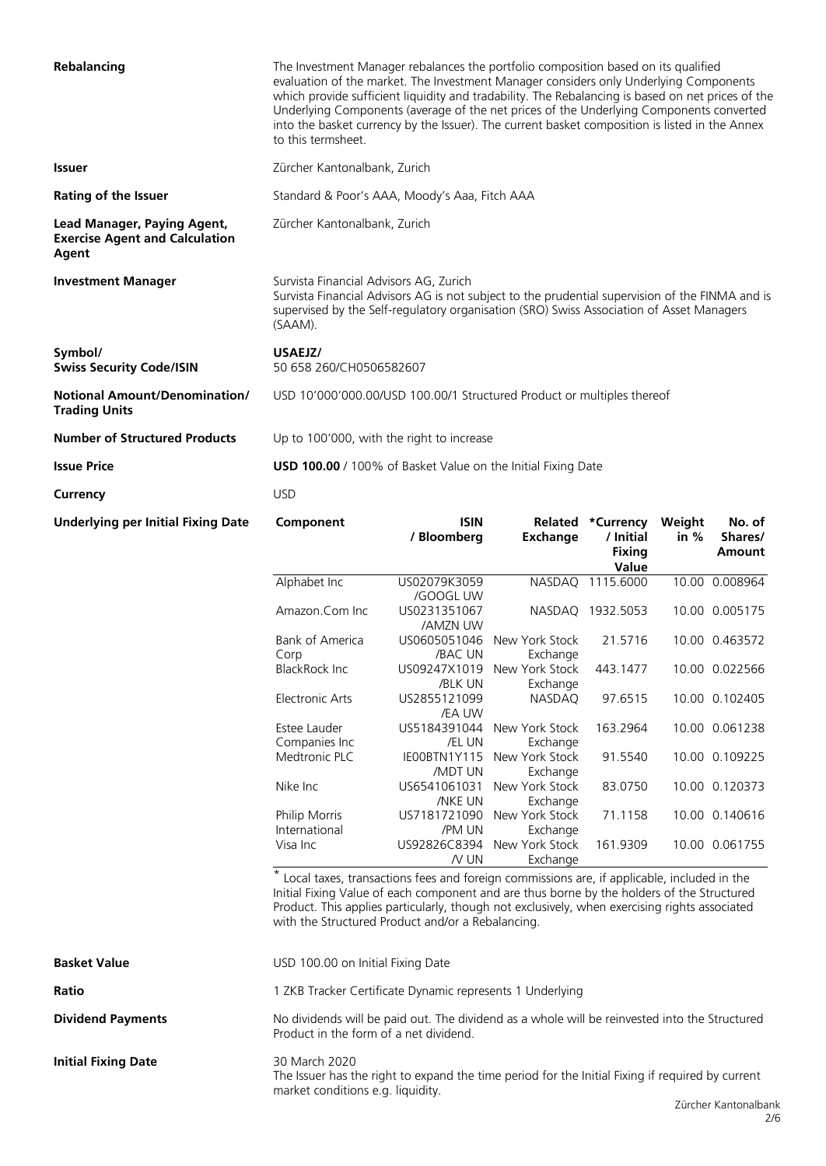| Rebalancing                                                                   | The Investment Manager rebalances the portfolio composition based on its qualified<br>evaluation of the market. The Investment Manager considers only Underlying Components<br>which provide sufficient liquidity and tradability. The Rebalancing is based on net prices of the<br>Underlying Components (average of the net prices of the Underlying Components converted<br>into the basket currency by the Issuer). The current basket composition is listed in the Annex<br>to this termsheet. |             |  |                          |  |        |
|-------------------------------------------------------------------------------|-----------------------------------------------------------------------------------------------------------------------------------------------------------------------------------------------------------------------------------------------------------------------------------------------------------------------------------------------------------------------------------------------------------------------------------------------------------------------------------------------------|-------------|--|--------------------------|--|--------|
| <b>Issuer</b>                                                                 | Zürcher Kantonalbank, Zurich                                                                                                                                                                                                                                                                                                                                                                                                                                                                        |             |  |                          |  |        |
| <b>Rating of the Issuer</b>                                                   | Standard & Poor's AAA, Moody's Aaa, Fitch AAA                                                                                                                                                                                                                                                                                                                                                                                                                                                       |             |  |                          |  |        |
| Lead Manager, Paying Agent,<br><b>Exercise Agent and Calculation</b><br>Agent | Zürcher Kantonalbank, Zurich                                                                                                                                                                                                                                                                                                                                                                                                                                                                        |             |  |                          |  |        |
| <b>Investment Manager</b>                                                     | Survista Financial Advisors AG, Zurich<br>Survista Financial Advisors AG is not subject to the prudential supervision of the FINMA and is<br>supervised by the Self-regulatory organisation (SRO) Swiss Association of Asset Managers<br>(SAAM).                                                                                                                                                                                                                                                    |             |  |                          |  |        |
| Symbol/<br><b>Swiss Security Code/ISIN</b>                                    | USAEJZ/<br>50 658 260/CH0506582607                                                                                                                                                                                                                                                                                                                                                                                                                                                                  |             |  |                          |  |        |
| <b>Notional Amount/Denomination/</b><br><b>Trading Units</b>                  | USD 10'000'000.00/USD 100.00/1 Structured Product or multiples thereof                                                                                                                                                                                                                                                                                                                                                                                                                              |             |  |                          |  |        |
| <b>Number of Structured Products</b>                                          | Up to 100'000, with the right to increase                                                                                                                                                                                                                                                                                                                                                                                                                                                           |             |  |                          |  |        |
| <b>Issue Price</b>                                                            | <b>USD 100.00</b> / 100% of Basket Value on the Initial Fixing Date                                                                                                                                                                                                                                                                                                                                                                                                                                 |             |  |                          |  |        |
| Currency                                                                      | <b>USD</b>                                                                                                                                                                                                                                                                                                                                                                                                                                                                                          |             |  |                          |  |        |
| Underlying per Initial Fixing Date                                            | Component                                                                                                                                                                                                                                                                                                                                                                                                                                                                                           | <b>ISIN</b> |  | Related *Currency Weight |  | No. of |

| Component                      | <b>ISIN</b><br>/ Bloomberg     | Related<br><b>Exchange</b> | *Currency<br>/ Initial<br><b>Fixing</b><br><b>Value</b> | Weight<br>in % | No. of<br>Shares/<br>Amount |
|--------------------------------|--------------------------------|----------------------------|---------------------------------------------------------|----------------|-----------------------------|
| Alphabet Inc                   | US02079K3059<br>/GOOGL UW      | <b>NASDAO</b>              | 1115.6000                                               |                | 10.00 0.008964              |
| Amazon.Com Inc.                | US0231351067<br>/AMZN UW       | <b>NASDAQ</b>              | 1932.5053                                               |                | 10.00 0.005175              |
| <b>Bank of America</b><br>Corp | US0605051046<br>/BAC UN        | New York Stock<br>Exchange | 21.5716                                                 |                | 10.00 0.463572              |
| <b>BlackRock Inc.</b>          | US09247X1019<br>/BLK UN        | New York Stock<br>Exchange | 443.1477                                                | 10.00          | 0.022566                    |
| <b>Electronic Arts</b>         | US2855121099<br><b>JEA UW</b>  | <b>NASDAQ</b>              | 97.6515                                                 | 10.00          | 0.102405                    |
| Estee Lauder<br>Companies Inc  | US5184391044<br>/EL UN         | New York Stock<br>Exchange | 163.2964                                                |                | 10.00 0.061238              |
| Medtronic PLC                  | IEOOBTN1Y115<br>/MDT UN        | New York Stock<br>Exchange | 91.5540                                                 |                | 10.00 0.109225              |
| Nike Inc                       | US6541061031<br><b>/NKE UN</b> | New York Stock<br>Exchange | 83.0750                                                 |                | 10.00 0.120373              |
| Philip Morris<br>International | US7181721090<br>/PM UN         | New York Stock<br>Exchange | 71.1158                                                 |                | 10.00 0.140616              |
| Visa Inc                       | US92826C8394<br>$N$ UN         | New York Stock<br>Exchange | 161.9309                                                | 10.00          | 0.061755                    |

\* Local taxes, transactions fees and foreign commissions are, if applicable, included in the Initial Fixing Value of each component and are thus borne by the holders of the Structured Product. This applies particularly, though not exclusively, when exercising rights associated with the Structured Product and/or a Rebalancing.

| USD 100.00 on Initial Fixing Date                                                                                                                      |
|--------------------------------------------------------------------------------------------------------------------------------------------------------|
| 1 ZKB Tracker Certificate Dynamic represents 1 Underlying                                                                                              |
| No dividends will be paid out. The dividend as a whole will be reinvested into the Structured<br>Product in the form of a net dividend.                |
| 30 March 2020<br>The Issuer has the right to expand the time period for the Initial Fixing if required by current<br>market conditions e.g. liquidity. |
|                                                                                                                                                        |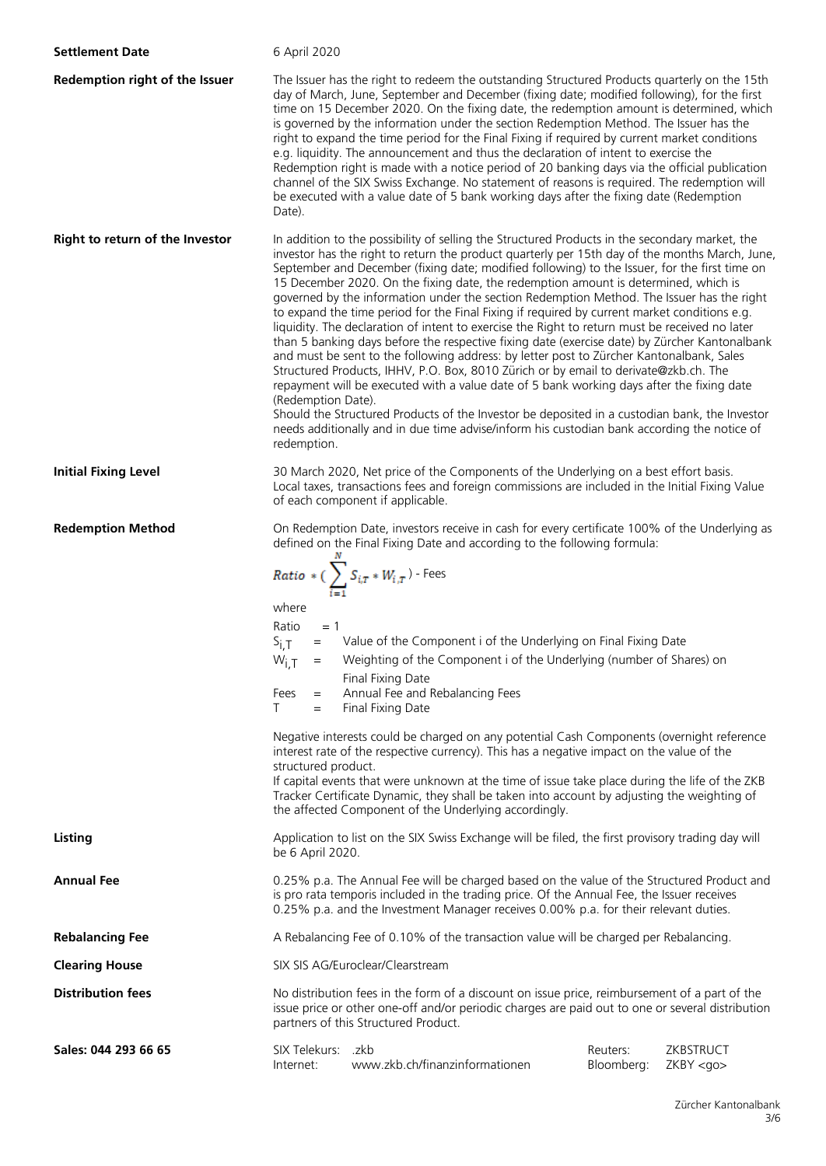| <b>Settlement Date</b>          | 6 April 2020                                                                                                                                                                                                                                                                                                                                                                                                                                                                                                                                                                                                                                                                                                                                                                                                                                                                                                                                                                                                                                                                                                                                                                                                                                                                                                   |                                  |                        |                              |  |
|---------------------------------|----------------------------------------------------------------------------------------------------------------------------------------------------------------------------------------------------------------------------------------------------------------------------------------------------------------------------------------------------------------------------------------------------------------------------------------------------------------------------------------------------------------------------------------------------------------------------------------------------------------------------------------------------------------------------------------------------------------------------------------------------------------------------------------------------------------------------------------------------------------------------------------------------------------------------------------------------------------------------------------------------------------------------------------------------------------------------------------------------------------------------------------------------------------------------------------------------------------------------------------------------------------------------------------------------------------|----------------------------------|------------------------|------------------------------|--|
| Redemption right of the Issuer  | The Issuer has the right to redeem the outstanding Structured Products quarterly on the 15th<br>day of March, June, September and December (fixing date; modified following), for the first<br>time on 15 December 2020. On the fixing date, the redemption amount is determined, which<br>is governed by the information under the section Redemption Method. The Issuer has the<br>right to expand the time period for the Final Fixing if required by current market conditions<br>e.g. liquidity. The announcement and thus the declaration of intent to exercise the<br>Redemption right is made with a notice period of 20 banking days via the official publication<br>channel of the SIX Swiss Exchange. No statement of reasons is required. The redemption will<br>be executed with a value date of 5 bank working days after the fixing date (Redemption<br>Date).                                                                                                                                                                                                                                                                                                                                                                                                                                  |                                  |                        |                              |  |
| Right to return of the Investor | In addition to the possibility of selling the Structured Products in the secondary market, the<br>investor has the right to return the product quarterly per 15th day of the months March, June,<br>September and December (fixing date; modified following) to the Issuer, for the first time on<br>15 December 2020. On the fixing date, the redemption amount is determined, which is<br>governed by the information under the section Redemption Method. The Issuer has the right<br>to expand the time period for the Final Fixing if required by current market conditions e.g.<br>liquidity. The declaration of intent to exercise the Right to return must be received no later<br>than 5 banking days before the respective fixing date (exercise date) by Zürcher Kantonalbank<br>and must be sent to the following address: by letter post to Zürcher Kantonalbank, Sales<br>Structured Products, IHHV, P.O. Box, 8010 Zürich or by email to derivate@zkb.ch. The<br>repayment will be executed with a value date of 5 bank working days after the fixing date<br>(Redemption Date).<br>Should the Structured Products of the Investor be deposited in a custodian bank, the Investor<br>needs additionally and in due time advise/inform his custodian bank according the notice of<br>redemption. |                                  |                        |                              |  |
| <b>Initial Fixing Level</b>     | 30 March 2020, Net price of the Components of the Underlying on a best effort basis.<br>Local taxes, transactions fees and foreign commissions are included in the Initial Fixing Value<br>of each component if applicable.                                                                                                                                                                                                                                                                                                                                                                                                                                                                                                                                                                                                                                                                                                                                                                                                                                                                                                                                                                                                                                                                                    |                                  |                        |                              |  |
| <b>Redemption Method</b>        | On Redemption Date, investors receive in cash for every certificate 100% of the Underlying as<br>defined on the Final Fixing Date and according to the following formula:<br><b>Ratio</b> * $\left(\sum_{i=1}^n S_{i,T} * W_{i,T}\right)$ - Fees<br>where<br>Ratio<br>$= 1$<br>= Value of the Component i of the Underlying on Final Fixing Date<br>$S_{i,T}$<br>Weighting of the Component i of the Underlying (number of Shares) on<br>$W_{i,T}$ =<br>Final Fixing Date<br>Annual Fee and Rebalancing Fees<br>Fees<br>$=$<br>Final Fixing Date<br>T.<br>$=$<br>Negative interests could be charged on any potential Cash Components (overnight reference<br>interest rate of the respective currency). This has a negative impact on the value of the<br>structured product.<br>If capital events that were unknown at the time of issue take place during the life of the ZKB<br>Tracker Certificate Dynamic, they shall be taken into account by adjusting the weighting of<br>the affected Component of the Underlying accordingly.                                                                                                                                                                                                                                                                       |                                  |                        |                              |  |
| Listing                         | Application to list on the SIX Swiss Exchange will be filed, the first provisory trading day will<br>be 6 April 2020.                                                                                                                                                                                                                                                                                                                                                                                                                                                                                                                                                                                                                                                                                                                                                                                                                                                                                                                                                                                                                                                                                                                                                                                          |                                  |                        |                              |  |
| <b>Annual Fee</b>               | 0.25% p.a. The Annual Fee will be charged based on the value of the Structured Product and<br>is pro rata temporis included in the trading price. Of the Annual Fee, the Issuer receives<br>0.25% p.a. and the Investment Manager receives 0.00% p.a. for their relevant duties.                                                                                                                                                                                                                                                                                                                                                                                                                                                                                                                                                                                                                                                                                                                                                                                                                                                                                                                                                                                                                               |                                  |                        |                              |  |
| <b>Rebalancing Fee</b>          | A Rebalancing Fee of 0.10% of the transaction value will be charged per Rebalancing.                                                                                                                                                                                                                                                                                                                                                                                                                                                                                                                                                                                                                                                                                                                                                                                                                                                                                                                                                                                                                                                                                                                                                                                                                           |                                  |                        |                              |  |
| <b>Clearing House</b>           |                                                                                                                                                                                                                                                                                                                                                                                                                                                                                                                                                                                                                                                                                                                                                                                                                                                                                                                                                                                                                                                                                                                                                                                                                                                                                                                | SIX SIS AG/Euroclear/Clearstream |                        |                              |  |
| <b>Distribution fees</b>        | No distribution fees in the form of a discount on issue price, reimbursement of a part of the<br>issue price or other one-off and/or periodic charges are paid out to one or several distribution<br>partners of this Structured Product.                                                                                                                                                                                                                                                                                                                                                                                                                                                                                                                                                                                                                                                                                                                                                                                                                                                                                                                                                                                                                                                                      |                                  |                        |                              |  |
| Sales: 044 293 66 65            | SIX Telekurs: .zkb<br>Internet:                                                                                                                                                                                                                                                                                                                                                                                                                                                                                                                                                                                                                                                                                                                                                                                                                                                                                                                                                                                                                                                                                                                                                                                                                                                                                | www.zkb.ch/finanzinformationen   | Reuters:<br>Bloomberg: | ZKBSTRUCT<br>$ZKBY <$ go $>$ |  |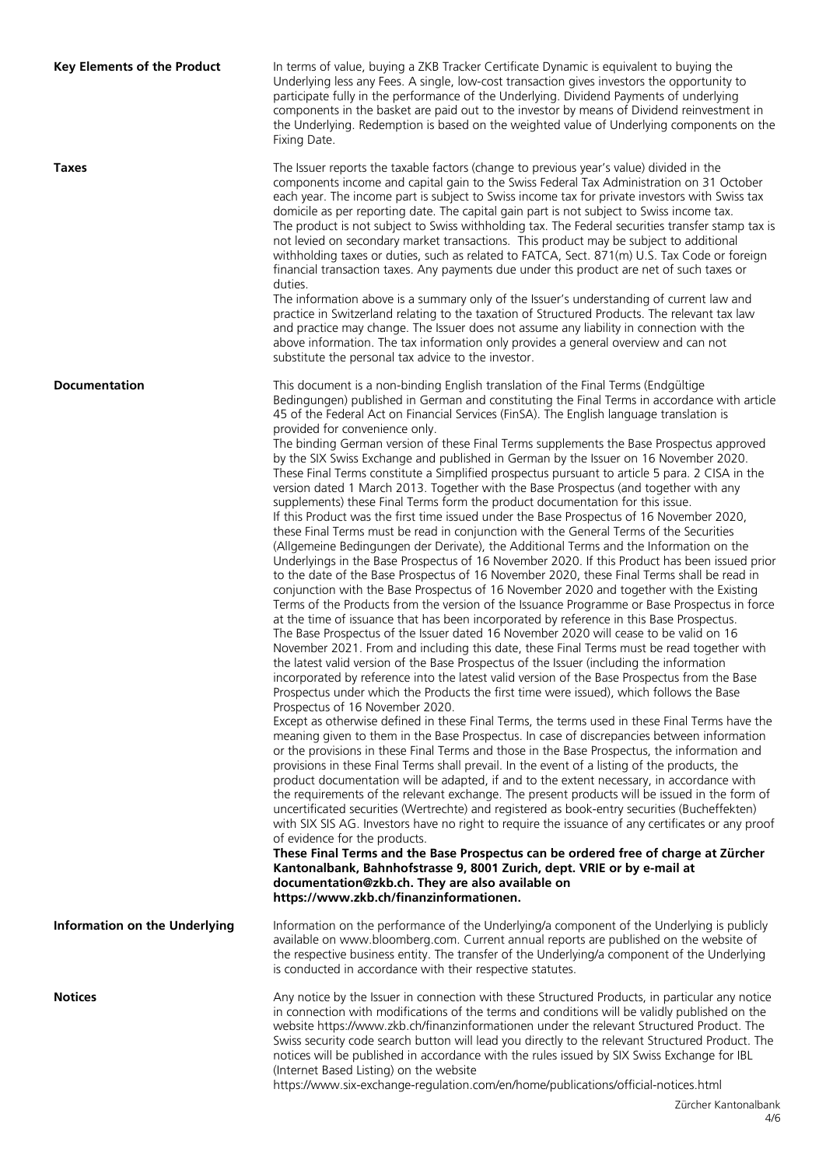| <b>Key Elements of the Product</b>   | In terms of value, buying a ZKB Tracker Certificate Dynamic is equivalent to buying the<br>Underlying less any Fees. A single, low-cost transaction gives investors the opportunity to<br>participate fully in the performance of the Underlying. Dividend Payments of underlying<br>components in the basket are paid out to the investor by means of Dividend reinvestment in<br>the Underlying. Redemption is based on the weighted value of Underlying components on the<br>Fixing Date.                                                                                                                                                                                                                                                                                                                                                                                                                                                                                                                                                                                                                                                                                                                                                                                                                                                                                                                                                                                                                                                                                                                                                                                                                                                                                                                                                                                                                                                                                                                                                                                                                                                                                                                                                                                                                                                                                                                                                                                                                                                                                                                                                                                                                                                                                                                                                                                                                                                                                                                                                                                                                                                                               |
|--------------------------------------|----------------------------------------------------------------------------------------------------------------------------------------------------------------------------------------------------------------------------------------------------------------------------------------------------------------------------------------------------------------------------------------------------------------------------------------------------------------------------------------------------------------------------------------------------------------------------------------------------------------------------------------------------------------------------------------------------------------------------------------------------------------------------------------------------------------------------------------------------------------------------------------------------------------------------------------------------------------------------------------------------------------------------------------------------------------------------------------------------------------------------------------------------------------------------------------------------------------------------------------------------------------------------------------------------------------------------------------------------------------------------------------------------------------------------------------------------------------------------------------------------------------------------------------------------------------------------------------------------------------------------------------------------------------------------------------------------------------------------------------------------------------------------------------------------------------------------------------------------------------------------------------------------------------------------------------------------------------------------------------------------------------------------------------------------------------------------------------------------------------------------------------------------------------------------------------------------------------------------------------------------------------------------------------------------------------------------------------------------------------------------------------------------------------------------------------------------------------------------------------------------------------------------------------------------------------------------------------------------------------------------------------------------------------------------------------------------------------------------------------------------------------------------------------------------------------------------------------------------------------------------------------------------------------------------------------------------------------------------------------------------------------------------------------------------------------------------------------------------------------------------------------------------------------------------|
| <b>Taxes</b>                         | The Issuer reports the taxable factors (change to previous year's value) divided in the<br>components income and capital gain to the Swiss Federal Tax Administration on 31 October<br>each year. The income part is subject to Swiss income tax for private investors with Swiss tax<br>domicile as per reporting date. The capital gain part is not subject to Swiss income tax.<br>The product is not subject to Swiss withholding tax. The Federal securities transfer stamp tax is<br>not levied on secondary market transactions. This product may be subject to additional<br>withholding taxes or duties, such as related to FATCA, Sect. 871(m) U.S. Tax Code or foreign<br>financial transaction taxes. Any payments due under this product are net of such taxes or<br>duties.<br>The information above is a summary only of the Issuer's understanding of current law and<br>practice in Switzerland relating to the taxation of Structured Products. The relevant tax law<br>and practice may change. The Issuer does not assume any liability in connection with the<br>above information. The tax information only provides a general overview and can not<br>substitute the personal tax advice to the investor.                                                                                                                                                                                                                                                                                                                                                                                                                                                                                                                                                                                                                                                                                                                                                                                                                                                                                                                                                                                                                                                                                                                                                                                                                                                                                                                                                                                                                                                                                                                                                                                                                                                                                                                                                                                                                                                                                                                                           |
| <b>Documentation</b>                 | This document is a non-binding English translation of the Final Terms (Endgültige<br>Bedingungen) published in German and constituting the Final Terms in accordance with article<br>45 of the Federal Act on Financial Services (FinSA). The English language translation is<br>provided for convenience only.<br>The binding German version of these Final Terms supplements the Base Prospectus approved<br>by the SIX Swiss Exchange and published in German by the Issuer on 16 November 2020.<br>These Final Terms constitute a Simplified prospectus pursuant to article 5 para. 2 CISA in the<br>version dated 1 March 2013. Together with the Base Prospectus (and together with any<br>supplements) these Final Terms form the product documentation for this issue.<br>If this Product was the first time issued under the Base Prospectus of 16 November 2020,<br>these Final Terms must be read in conjunction with the General Terms of the Securities<br>(Allgemeine Bedingungen der Derivate), the Additional Terms and the Information on the<br>Underlyings in the Base Prospectus of 16 November 2020. If this Product has been issued prior<br>to the date of the Base Prospectus of 16 November 2020, these Final Terms shall be read in<br>conjunction with the Base Prospectus of 16 November 2020 and together with the Existing<br>Terms of the Products from the version of the Issuance Programme or Base Prospectus in force<br>at the time of issuance that has been incorporated by reference in this Base Prospectus.<br>The Base Prospectus of the Issuer dated 16 November 2020 will cease to be valid on 16<br>November 2021. From and including this date, these Final Terms must be read together with<br>the latest valid version of the Base Prospectus of the Issuer (including the information<br>incorporated by reference into the latest valid version of the Base Prospectus from the Base<br>Prospectus under which the Products the first time were issued), which follows the Base<br>Prospectus of 16 November 2020.<br>Except as otherwise defined in these Final Terms, the terms used in these Final Terms have the<br>meaning given to them in the Base Prospectus. In case of discrepancies between information<br>or the provisions in these Final Terms and those in the Base Prospectus, the information and<br>provisions in these Final Terms shall prevail. In the event of a listing of the products, the<br>product documentation will be adapted, if and to the extent necessary, in accordance with<br>the requirements of the relevant exchange. The present products will be issued in the form of<br>uncertificated securities (Wertrechte) and registered as book-entry securities (Bucheffekten)<br>with SIX SIS AG. Investors have no right to require the issuance of any certificates or any proof<br>of evidence for the products.<br>These Final Terms and the Base Prospectus can be ordered free of charge at Zürcher<br>Kantonalbank, Bahnhofstrasse 9, 8001 Zurich, dept. VRIE or by e-mail at<br>documentation@zkb.ch. They are also available on<br>https://www.zkb.ch/finanzinformationen. |
| <b>Information on the Underlying</b> | Information on the performance of the Underlying/a component of the Underlying is publicly<br>available on www.bloomberg.com. Current annual reports are published on the website of<br>the respective business entity. The transfer of the Underlying/a component of the Underlying<br>is conducted in accordance with their respective statutes.                                                                                                                                                                                                                                                                                                                                                                                                                                                                                                                                                                                                                                                                                                                                                                                                                                                                                                                                                                                                                                                                                                                                                                                                                                                                                                                                                                                                                                                                                                                                                                                                                                                                                                                                                                                                                                                                                                                                                                                                                                                                                                                                                                                                                                                                                                                                                                                                                                                                                                                                                                                                                                                                                                                                                                                                                         |
| <b>Notices</b>                       | Any notice by the Issuer in connection with these Structured Products, in particular any notice<br>in connection with modifications of the terms and conditions will be validly published on the<br>website https://www.zkb.ch/finanzinformationen under the relevant Structured Product. The<br>Swiss security code search button will lead you directly to the relevant Structured Product. The<br>notices will be published in accordance with the rules issued by SIX Swiss Exchange for IBL<br>(Internet Based Listing) on the website<br>https://www.six-exchange-regulation.com/en/home/publications/official-notices.html                                                                                                                                                                                                                                                                                                                                                                                                                                                                                                                                                                                                                                                                                                                                                                                                                                                                                                                                                                                                                                                                                                                                                                                                                                                                                                                                                                                                                                                                                                                                                                                                                                                                                                                                                                                                                                                                                                                                                                                                                                                                                                                                                                                                                                                                                                                                                                                                                                                                                                                                          |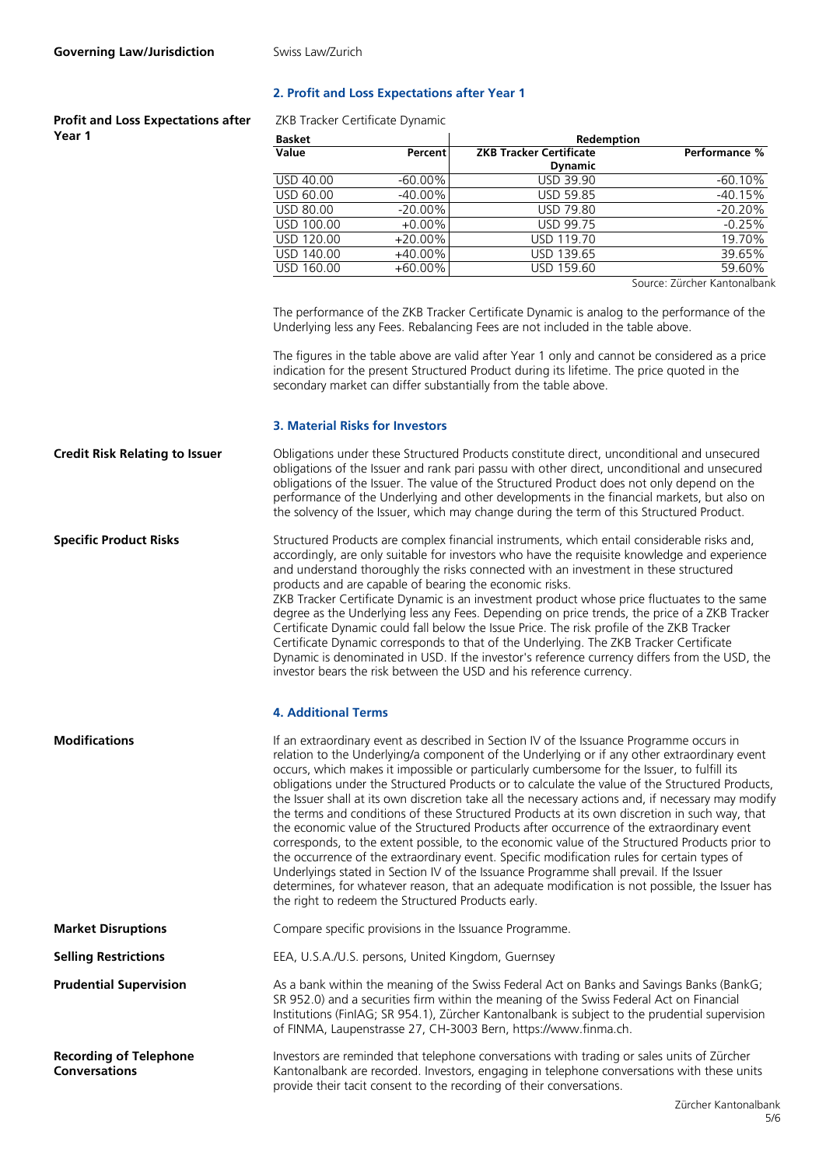## **2. Profit and Loss Expectations after Year 1**

**Profit and Loss Expectations after Year 1**

|  | ZKB Tracker Certificate Dynamic |  |
|--|---------------------------------|--|
|--|---------------------------------|--|

| <b>Basket</b> |            | Redemption                     |                              |
|---------------|------------|--------------------------------|------------------------------|
| Value         | Percent    | <b>ZKB Tracker Certificate</b> | Performance %                |
|               |            | <b>Dynamic</b>                 |                              |
| USD 40.00     | $-60.00\%$ | <b>USD 39.90</b>               | $-60.10%$                    |
| USD 60.00     | $-40.00\%$ | <b>USD 59.85</b>               | $-40.15%$                    |
| USD 80.00     | $-20.00\%$ | USD 79.80                      | $-20.20%$                    |
| USD 100.00    | $+0.00\%$  | <b>USD 99.75</b>               | $-0.25%$                     |
| USD 120.00    | $+20.00\%$ | USD 119.70                     | 19.70%                       |
| USD 140.00    | +40.00%    | USD 139.65                     | 39.65%                       |
| USD 160.00    | $+60.00\%$ | USD 159.60                     | 59.60%                       |
|               |            |                                | Course: Zürcher Kantonalbank |

Source: Zürcher Kantonalbank

The performance of the ZKB Tracker Certificate Dynamic is analog to the performance of the Underlying less any Fees. Rebalancing Fees are not included in the table above.

The figures in the table above are valid after Year 1 only and cannot be considered as a price indication for the present Structured Product during its lifetime. The price quoted in the secondary market can differ substantially from the table above.

### **3. Material Risks for Investors**

**Credit Risk Relating to Issuer** Obligations under these Structured Products constitute direct, unconditional and unsecured obligations of the Issuer and rank pari passu with other direct, unconditional and unsecured obligations of the Issuer. The value of the Structured Product does not only depend on the performance of the Underlying and other developments in the financial markets, but also on the solvency of the Issuer, which may change during the term of this Structured Product.

**Specific Product Risks** Structured Products are complex financial instruments, which entail considerable risks and, accordingly, are only suitable for investors who have the requisite knowledge and experience and understand thoroughly the risks connected with an investment in these structured products and are capable of bearing the economic risks. ZKB Tracker Certificate Dynamic is an investment product whose price fluctuates to the same degree as the Underlying less any Fees. Depending on price trends, the price of a ZKB Tracker

Certificate Dynamic could fall below the Issue Price. The risk profile of the ZKB Tracker Certificate Dynamic corresponds to that of the Underlying. The ZKB Tracker Certificate Dynamic is denominated in USD. If the investor's reference currency differs from the USD, the investor bears the risk between the USD and his reference currency.

#### **4. Additional Terms**

**Modifications If an extraordinary event as described in Section IV of the Issuance Programme occurs in** relation to the Underlying/a component of the Underlying or if any other extraordinary event occurs, which makes it impossible or particularly cumbersome for the Issuer, to fulfill its obligations under the Structured Products or to calculate the value of the Structured Products, the Issuer shall at its own discretion take all the necessary actions and, if necessary may modify the terms and conditions of these Structured Products at its own discretion in such way, that the economic value of the Structured Products after occurrence of the extraordinary event corresponds, to the extent possible, to the economic value of the Structured Products prior to the occurrence of the extraordinary event. Specific modification rules for certain types of Underlyings stated in Section IV of the Issuance Programme shall prevail. If the Issuer determines, for whatever reason, that an adequate modification is not possible, the Issuer has the right to redeem the Structured Products early.

of FINMA, Laupenstrasse 27, CH-3003 Bern, https://www.finma.ch.

**Market Disruptions Compare specific provisions in the Issuance Programme.** 

**Selling Restrictions** EEA, U.S.A./U.S. persons, United Kingdom, Guernsey

**Prudential Supervision** As a bank within the meaning of the Swiss Federal Act on Banks and Savings Banks (BankG; SR 952.0) and a securities firm within the meaning of the Swiss Federal Act on Financial Institutions (FinIAG; SR 954.1), Zürcher Kantonalbank is subject to the prudential supervision

**Recording of Telephone Conversations**

Investors are reminded that telephone conversations with trading or sales units of Zürcher Kantonalbank are recorded. Investors, engaging in telephone conversations with these units provide their tacit consent to the recording of their conversations.